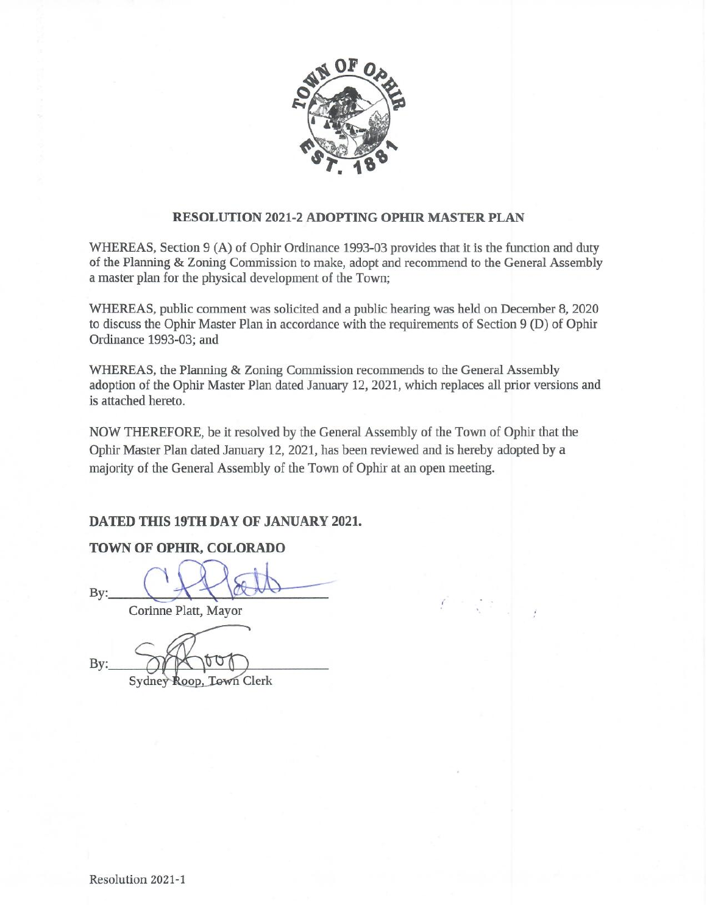

#### **RESOLUTION 2021-2 ADOPTING OPHIR MASTER PLAN**

WHEREAS, Section 9 (A) of Ophir Ordinance 1993-03 provides that it is the function and duty of the Planning & Zoning Commission to make, adopt and recommend to the General Assembly a master plan for the physical development of the Town;

WHEREAS, public comment was solicited and a public hearing was held on December 8, 2020 to discuss the Ophir Master Plan in accordance with the requirements of Section 9 (D) of Ophir Ordinance 1993-03; and

WHEREAS, the Planning & Zoning Commission recommends to the General Assembly adoption of the Ophir Master Plan dated January 12, 2021, which replaces all prior versions and is attached hereto.

NOW THEREFORE, be it resolved by the General Assembly of the Town of Ophir that the Ophir Master Plan dated January 12, 2021, has been reviewed and is hereby adopted by a majority of the General Assembly of the Town of Ophir at an open meeting.

#### DATED THIS 19TH DAY OF JANUARY 2021.

### TOWN OF OPHIR, COLORADO

By:

Corinne Platt, Mayor

Bv:

Sydney Roop, Town Clerk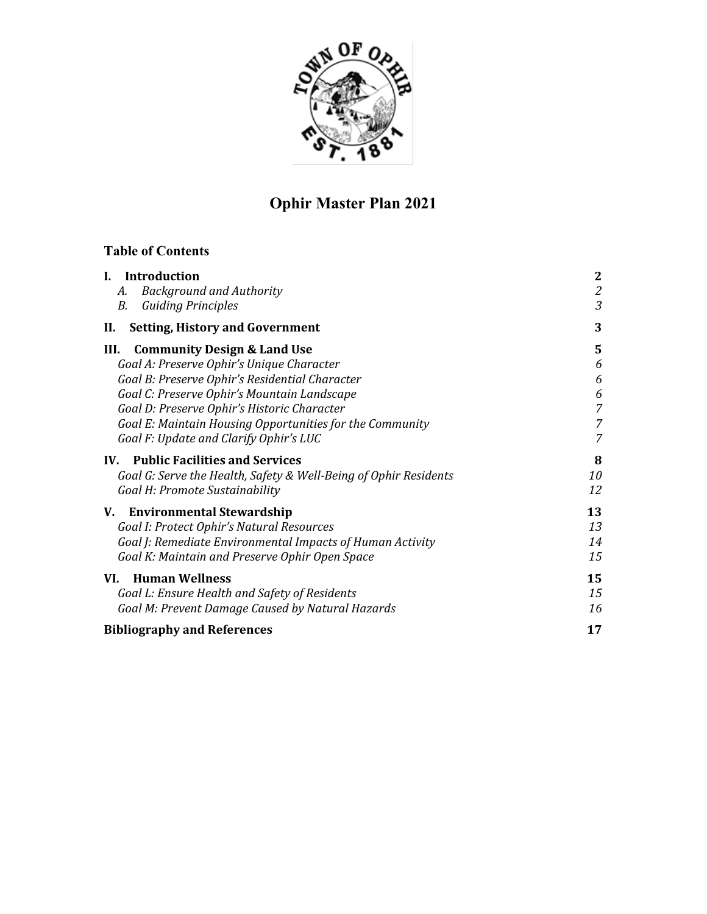

# **Ophir Master Plan 2021**

## **Table of Contents**

| <b>Introduction</b><br>L.                                        | $\boldsymbol{2}$ |
|------------------------------------------------------------------|------------------|
| <b>Background and Authority</b><br>А.                            | $\mathfrak{2}$   |
| <b>Guiding Principles</b><br>В.                                  | 3                |
| <b>Setting, History and Government</b><br>Н.                     | 3                |
| III.<br><b>Community Design &amp; Land Use</b>                   | 5                |
| Goal A: Preserve Ophir's Unique Character                        | 6                |
| Goal B: Preserve Ophir's Residential Character                   | 6                |
| Goal C: Preserve Ophir's Mountain Landscape                      | 6                |
| Goal D: Preserve Ophir's Historic Character                      | 7                |
| Goal E: Maintain Housing Opportunities for the Community         | 7                |
| Goal F: Update and Clarify Ophir's LUC                           | 7                |
| IV. Public Facilities and Services                               | 8                |
| Goal G: Serve the Health, Safety & Well-Being of Ophir Residents | 10               |
| Goal H: Promote Sustainability                                   | 12               |
| <b>Environmental Stewardship</b><br>V.                           | 13               |
| Goal I: Protect Ophir's Natural Resources                        | 13               |
| Goal J: Remediate Environmental Impacts of Human Activity        | 14               |
| Goal K: Maintain and Preserve Ophir Open Space                   | 15               |
| <b>Human Wellness</b><br>VI.                                     | 15               |
| Goal L: Ensure Health and Safety of Residents                    | 15               |
| Goal M: Prevent Damage Caused by Natural Hazards                 | 16               |
| <b>Bibliography and References</b>                               | 17               |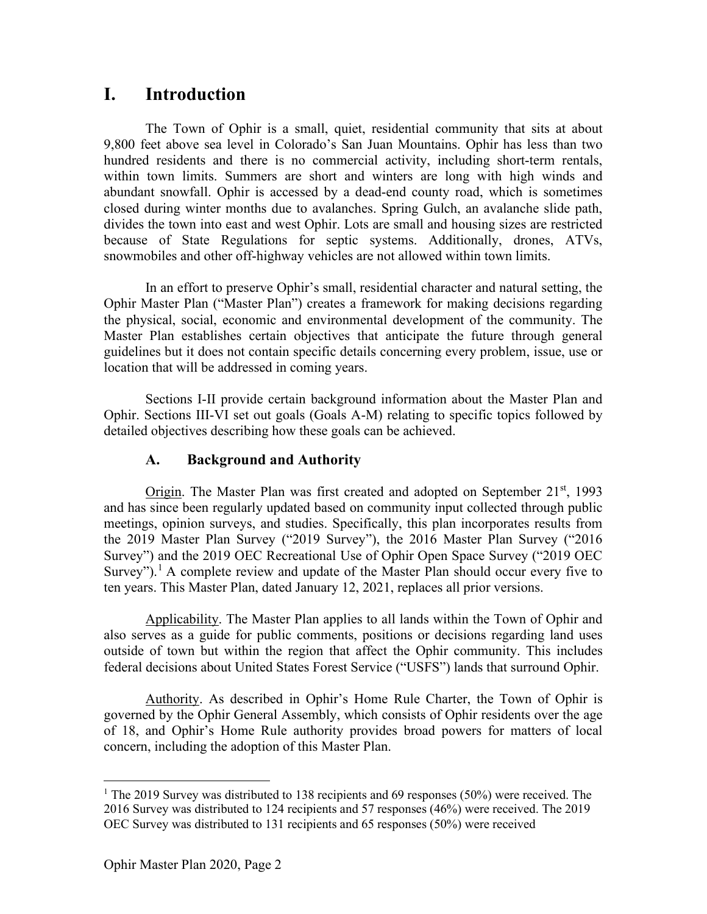## **I. Introduction**

The Town of Ophir is a small, quiet, residential community that sits at about 9,800 feet above sea level in Colorado's San Juan Mountains. Ophir has less than two hundred residents and there is no commercial activity, including short-term rentals, within town limits. Summers are short and winters are long with high winds and abundant snowfall. Ophir is accessed by a dead-end county road, which is sometimes closed during winter months due to avalanches. Spring Gulch, an avalanche slide path, divides the town into east and west Ophir. Lots are small and housing sizes are restricted because of State Regulations for septic systems. Additionally, drones, ATVs, snowmobiles and other off-highway vehicles are not allowed within town limits.

In an effort to preserve Ophir's small, residential character and natural setting, the Ophir Master Plan ("Master Plan") creates a framework for making decisions regarding the physical, social, economic and environmental development of the community. The Master Plan establishes certain objectives that anticipate the future through general guidelines but it does not contain specific details concerning every problem, issue, use or location that will be addressed in coming years.

Sections I-II provide certain background information about the Master Plan and Ophir. Sections III-VI set out goals (Goals A-M) relating to specific topics followed by detailed objectives describing how these goals can be achieved.

### **A. Background and Authority**

Origin. The Master Plan was first created and adopted on September  $21<sup>st</sup>$ , 1993 and has since been regularly updated based on community input collected through public meetings, opinion surveys, and studies. Specifically, this plan incorporates results from the 2019 Master Plan Survey ("2019 Survey"), the 2016 Master Plan Survey ("2016 Survey") and the 2019 OEC Recreational Use of Ophir Open Space Survey ("2019 OEC Survey").<sup>[1](#page-2-0)</sup> A complete review and update of the Master Plan should occur every five to ten years. This Master Plan, dated January 12, 2021, replaces all prior versions.

Applicability. The Master Plan applies to all lands within the Town of Ophir and also serves as a guide for public comments, positions or decisions regarding land uses outside of town but within the region that affect the Ophir community. This includes federal decisions about United States Forest Service ("USFS") lands that surround Ophir.

Authority. As described in Ophir's Home Rule Charter, the Town of Ophir is governed by the Ophir General Assembly, which consists of Ophir residents over the age of 18, and Ophir's Home Rule authority provides broad powers for matters of local concern, including the adoption of this Master Plan.

<span id="page-2-0"></span><sup>&</sup>lt;sup>1</sup> The 2019 Survey was distributed to 138 recipients and 69 responses (50%) were received. The 2016 Survey was distributed to 124 recipients and 57 responses (46%) were received. The 2019 OEC Survey was distributed to 131 recipients and 65 responses (50%) were received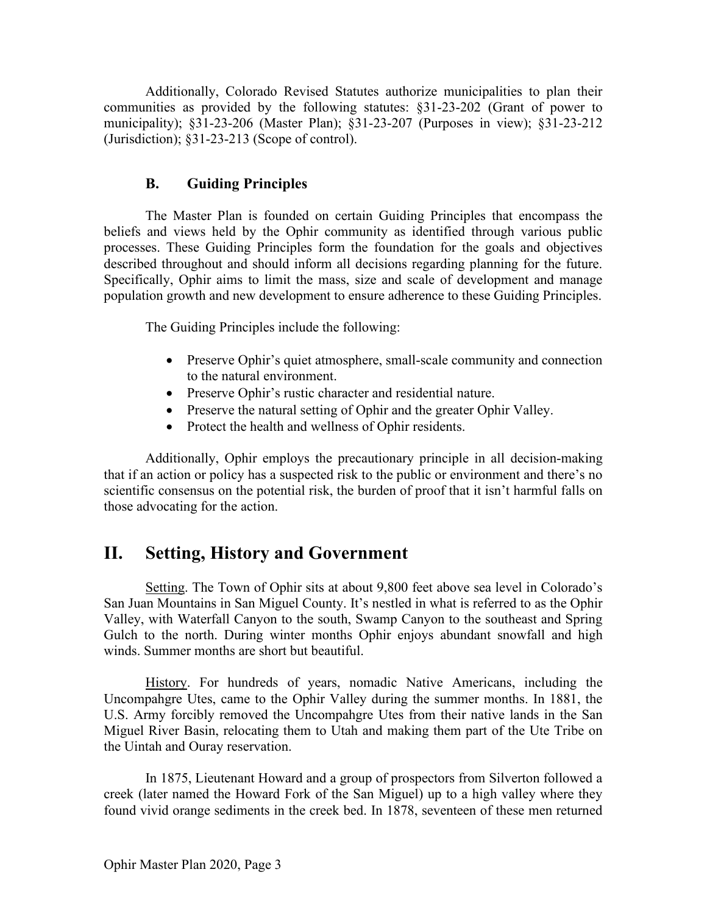Additionally, Colorado Revised Statutes authorize municipalities to plan their communities as provided by the following statutes: §31-23-202 (Grant of power to municipality); §31-23-206 (Master Plan); §31-23-207 (Purposes in view); §31-23-212 (Jurisdiction); §31-23-213 (Scope of control).

### **B. Guiding Principles**

The Master Plan is founded on certain Guiding Principles that encompass the beliefs and views held by the Ophir community as identified through various public processes. These Guiding Principles form the foundation for the goals and objectives described throughout and should inform all decisions regarding planning for the future. Specifically, Ophir aims to limit the mass, size and scale of development and manage population growth and new development to ensure adherence to these Guiding Principles.

The Guiding Principles include the following:

- Preserve Ophir's quiet atmosphere, small-scale community and connection to the natural environment.
- Preserve Ophir's rustic character and residential nature.
- Preserve the natural setting of Ophir and the greater Ophir Valley.
- Protect the health and wellness of Ophir residents.

Additionally, Ophir employs the precautionary principle in all decision-making that if an action or policy has a suspected risk to the public or environment and there's no scientific consensus on the potential risk, the burden of proof that it isn't harmful falls on those advocating for the action.

## **II. Setting, History and Government**

Setting. The Town of Ophir sits at about 9,800 feet above sea level in Colorado's San Juan Mountains in San Miguel County. It's nestled in what is referred to as the Ophir Valley, with Waterfall Canyon to the south, Swamp Canyon to the southeast and Spring Gulch to the north. During winter months Ophir enjoys abundant snowfall and high winds. Summer months are short but beautiful.

History. For hundreds of years, nomadic Native Americans, including the Uncompahgre Utes, came to the Ophir Valley during the summer months. In 1881, the U.S. Army forcibly removed the Uncompahgre Utes from their native lands in the San Miguel River Basin, relocating them to Utah and making them part of the Ute Tribe on the Uintah and Ouray reservation.

In 1875, Lieutenant Howard and a group of prospectors from Silverton followed a creek (later named the Howard Fork of the San Miguel) up to a high valley where they found vivid orange sediments in the creek bed. In 1878, seventeen of these men returned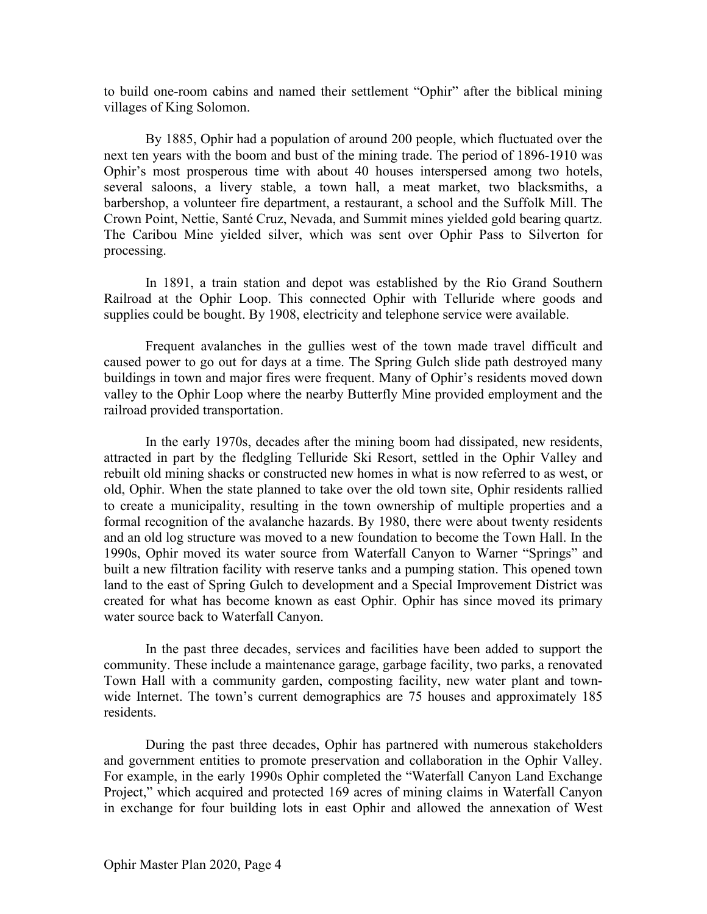to build one-room cabins and named their settlement "Ophir" after the biblical mining villages of King Solomon.

By 1885, Ophir had a population of around 200 people, which fluctuated over the next ten years with the boom and bust of the mining trade. The period of 1896-1910 was Ophir's most prosperous time with about 40 houses interspersed among two hotels, several saloons, a livery stable, a town hall, a meat market, two blacksmiths, a barbershop, a volunteer fire department, a restaurant, a school and the Suffolk Mill. The Crown Point, Nettie, Santé Cruz, Nevada, and Summit mines yielded gold bearing quartz. The Caribou Mine yielded silver, which was sent over Ophir Pass to Silverton for processing.

In 1891, a train station and depot was established by the Rio Grand Southern Railroad at the Ophir Loop. This connected Ophir with Telluride where goods and supplies could be bought. By 1908, electricity and telephone service were available.

Frequent avalanches in the gullies west of the town made travel difficult and caused power to go out for days at a time. The Spring Gulch slide path destroyed many buildings in town and major fires were frequent. Many of Ophir's residents moved down valley to the Ophir Loop where the nearby Butterfly Mine provided employment and the railroad provided transportation.

In the early 1970s, decades after the mining boom had dissipated, new residents, attracted in part by the fledgling Telluride Ski Resort, settled in the Ophir Valley and rebuilt old mining shacks or constructed new homes in what is now referred to as west, or old, Ophir. When the state planned to take over the old town site, Ophir residents rallied to create a municipality, resulting in the town ownership of multiple properties and a formal recognition of the avalanche hazards. By 1980, there were about twenty residents and an old log structure was moved to a new foundation to become the Town Hall. In the 1990s, Ophir moved its water source from Waterfall Canyon to Warner "Springs" and built a new filtration facility with reserve tanks and a pumping station. This opened town land to the east of Spring Gulch to development and a Special Improvement District was created for what has become known as east Ophir. Ophir has since moved its primary water source back to Waterfall Canyon.

In the past three decades, services and facilities have been added to support the community. These include a maintenance garage, garbage facility, two parks, a renovated Town Hall with a community garden, composting facility, new water plant and townwide Internet. The town's current demographics are 75 houses and approximately 185 residents.

During the past three decades, Ophir has partnered with numerous stakeholders and government entities to promote preservation and collaboration in the Ophir Valley. For example, in the early 1990s Ophir completed the "Waterfall Canyon Land Exchange Project," which acquired and protected 169 acres of mining claims in Waterfall Canyon in exchange for four building lots in east Ophir and allowed the annexation of West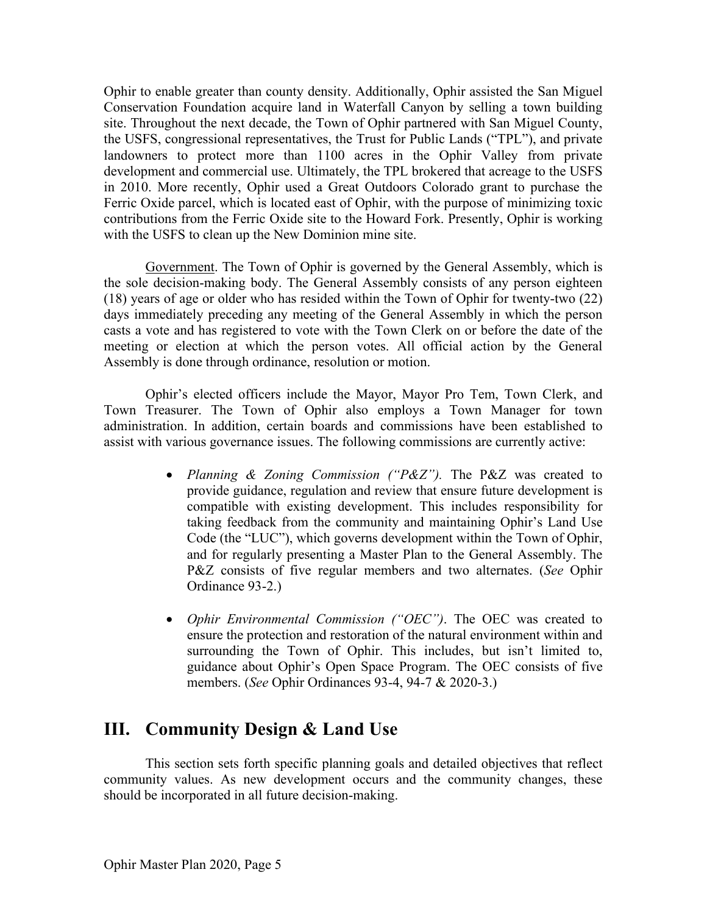Ophir to enable greater than county density. Additionally, Ophir assisted the San Miguel Conservation Foundation acquire land in Waterfall Canyon by selling a town building site. Throughout the next decade, the Town of Ophir partnered with San Miguel County, the USFS, congressional representatives, the Trust for Public Lands ("TPL"), and private landowners to protect more than 1100 acres in the Ophir Valley from private development and commercial use. Ultimately, the TPL brokered that acreage to the USFS in 2010. More recently, Ophir used a Great Outdoors Colorado grant to purchase the Ferric Oxide parcel, which is located east of Ophir, with the purpose of minimizing toxic contributions from the Ferric Oxide site to the Howard Fork. Presently, Ophir is working with the USFS to clean up the New Dominion mine site.

Government. The Town of Ophir is governed by the General Assembly, which is the sole decision-making body. The General Assembly consists of any person eighteen (18) years of age or older who has resided within the Town of Ophir for twenty-two (22) days immediately preceding any meeting of the General Assembly in which the person casts a vote and has registered to vote with the Town Clerk on or before the date of the meeting or election at which the person votes. All official action by the General Assembly is done through ordinance, resolution or motion.

Ophir's elected officers include the Mayor, Mayor Pro Tem, Town Clerk, and Town Treasurer. The Town of Ophir also employs a Town Manager for town administration. In addition, certain boards and commissions have been established to assist with various governance issues. The following commissions are currently active:

- *Planning & Zoning Commission ("P&Z").* The P&Z was created to provide guidance, regulation and review that ensure future development is compatible with existing development. This includes responsibility for taking feedback from the community and maintaining Ophir's Land Use Code (the "LUC"), which governs development within the Town of Ophir, and for regularly presenting a Master Plan to the General Assembly. The P&Z consists of five regular members and two alternates. (*See* Ophir Ordinance 93-2.)
- *Ophir Environmental Commission ("OEC")*. The OEC was created to ensure the protection and restoration of the natural environment within and surrounding the Town of Ophir. This includes, but isn't limited to, guidance about Ophir's Open Space Program. The OEC consists of five members. (*See* Ophir Ordinances 93-4, 94-7 & 2020-3.)

## **III. Community Design & Land Use**

This section sets forth specific planning goals and detailed objectives that reflect community values. As new development occurs and the community changes, these should be incorporated in all future decision-making.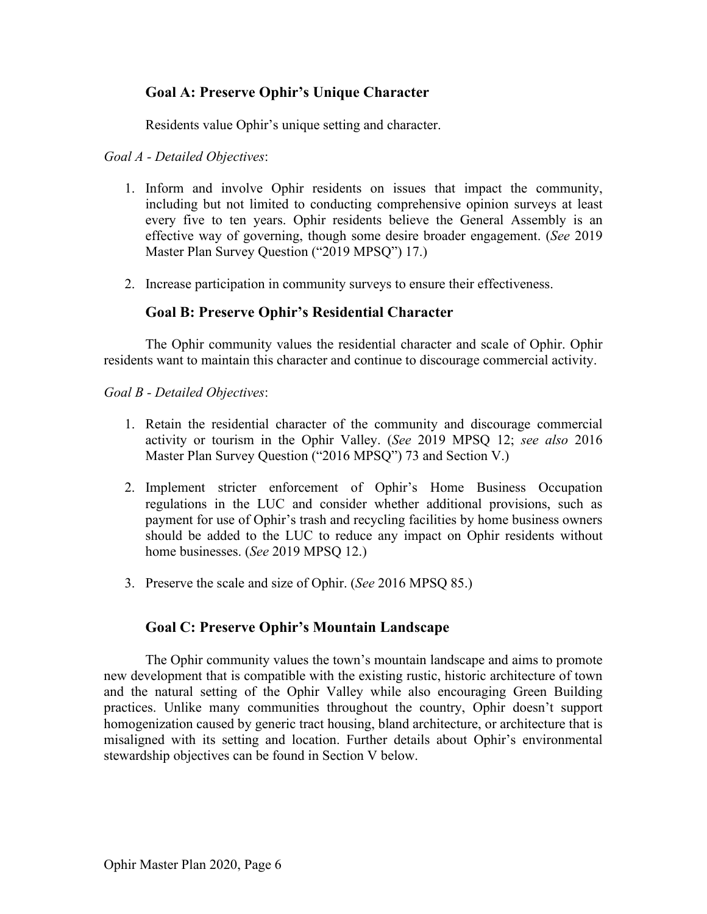## **Goal A: Preserve Ophir's Unique Character**

Residents value Ophir's unique setting and character.

### *Goal A - Detailed Objectives*:

- 1. Inform and involve Ophir residents on issues that impact the community, including but not limited to conducting comprehensive opinion surveys at least every five to ten years. Ophir residents believe the General Assembly is an effective way of governing, though some desire broader engagement. (*See* 2019 Master Plan Survey Question ("2019 MPSQ") 17.)
- 2. Increase participation in community surveys to ensure their effectiveness.

### **Goal B: Preserve Ophir's Residential Character**

The Ophir community values the residential character and scale of Ophir. Ophir residents want to maintain this character and continue to discourage commercial activity.

*Goal B - Detailed Objectives*:

- 1. Retain the residential character of the community and discourage commercial activity or tourism in the Ophir Valley. (*See* 2019 MPSQ 12; *see also* 2016 Master Plan Survey Question ("2016 MPSQ") 73 and Section V.)
- 2. Implement stricter enforcement of Ophir's Home Business Occupation regulations in the LUC and consider whether additional provisions, such as payment for use of Ophir's trash and recycling facilities by home business owners should be added to the LUC to reduce any impact on Ophir residents without home businesses. (*See* 2019 MPSQ 12.)
- 3. Preserve the scale and size of Ophir. (*See* 2016 MPSQ 85.)

## **Goal C: Preserve Ophir's Mountain Landscape**

The Ophir community values the town's mountain landscape and aims to promote new development that is compatible with the existing rustic, historic architecture of town and the natural setting of the Ophir Valley while also encouraging Green Building practices. Unlike many communities throughout the country, Ophir doesn't support homogenization caused by generic tract housing, bland architecture, or architecture that is misaligned with its setting and location. Further details about Ophir's environmental stewardship objectives can be found in Section V below.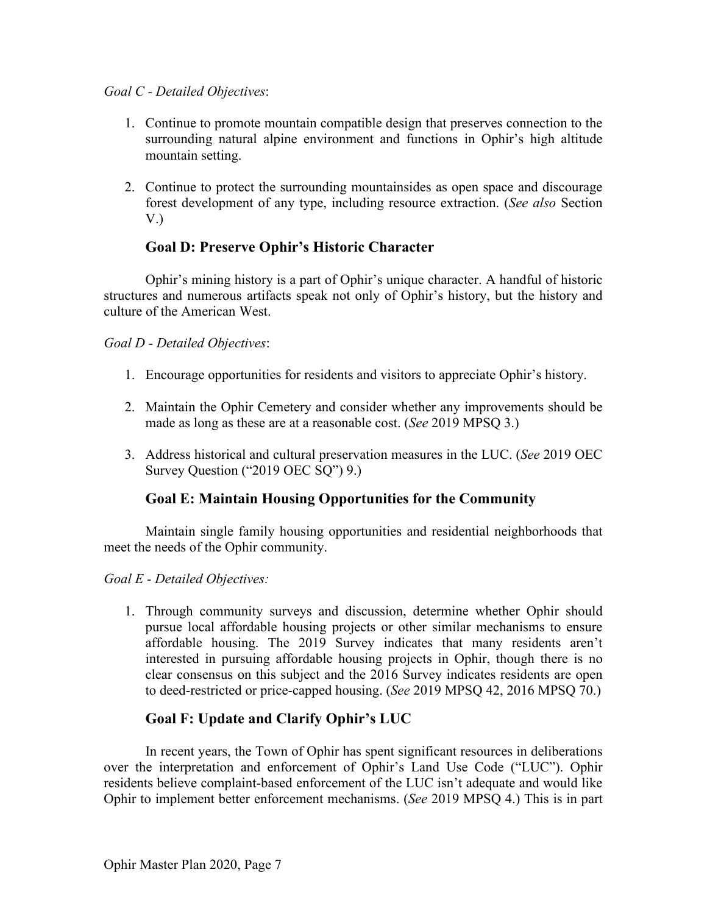### *Goal C - Detailed Objectives*:

- 1. Continue to promote mountain compatible design that preserves connection to the surrounding natural alpine environment and functions in Ophir's high altitude mountain setting.
- 2. Continue to protect the surrounding mountainsides as open space and discourage forest development of any type, including resource extraction. (*See also* Section V.)

## **Goal D: Preserve Ophir's Historic Character**

Ophir's mining history is a part of Ophir's unique character. A handful of historic structures and numerous artifacts speak not only of Ophir's history, but the history and culture of the American West.

### *Goal D - Detailed Objectives*:

- 1. Encourage opportunities for residents and visitors to appreciate Ophir's history.
- 2. Maintain the Ophir Cemetery and consider whether any improvements should be made as long as these are at a reasonable cost. (*See* 2019 MPSQ 3.)
- 3. Address historical and cultural preservation measures in the LUC. (*See* 2019 OEC Survey Question ("2019 OEC SQ") 9.)

## **Goal E: Maintain Housing Opportunities for the Community**

Maintain single family housing opportunities and residential neighborhoods that meet the needs of the Ophir community.

*Goal E - Detailed Objectives:*

1. Through community surveys and discussion, determine whether Ophir should pursue local affordable housing projects or other similar mechanisms to ensure affordable housing. The 2019 Survey indicates that many residents aren't interested in pursuing affordable housing projects in Ophir, though there is no clear consensus on this subject and the 2016 Survey indicates residents are open to deed-restricted or price-capped housing. (*See* 2019 MPSQ 42, 2016 MPSQ 70.)

## **Goal F: Update and Clarify Ophir's LUC**

In recent years, the Town of Ophir has spent significant resources in deliberations over the interpretation and enforcement of Ophir's Land Use Code ("LUC"). Ophir residents believe complaint-based enforcement of the LUC isn't adequate and would like Ophir to implement better enforcement mechanisms. (*See* 2019 MPSQ 4.) This is in part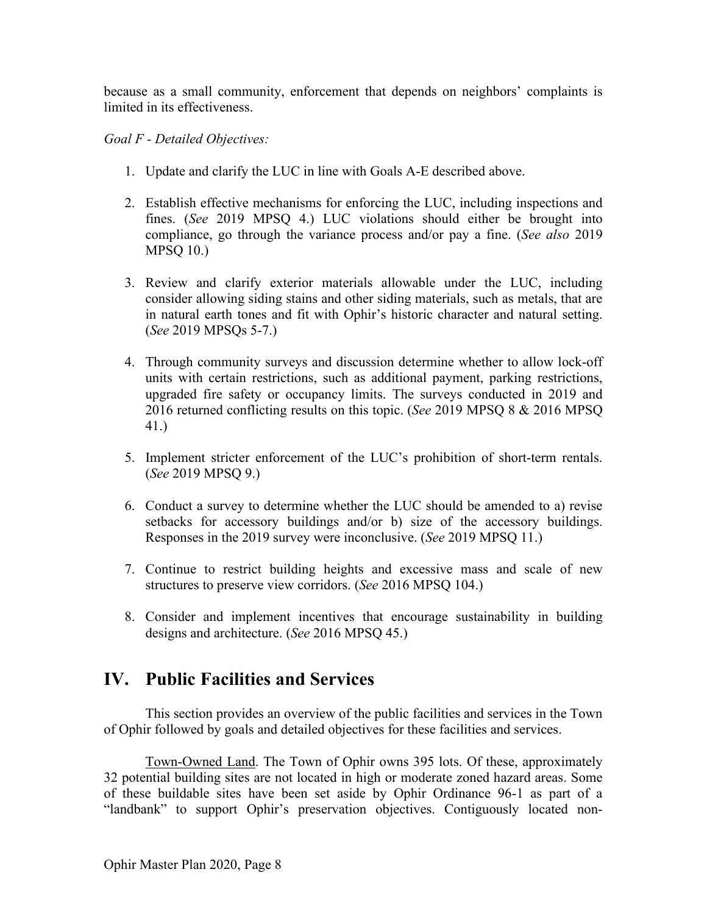because as a small community, enforcement that depends on neighbors' complaints is limited in its effectiveness.

### *Goal F - Detailed Objectives:*

- 1. Update and clarify the LUC in line with Goals A-E described above.
- 2. Establish effective mechanisms for enforcing the LUC, including inspections and fines. (*See* 2019 MPSQ 4.) LUC violations should either be brought into compliance, go through the variance process and/or pay a fine. (*See also* 2019 MPSQ 10.)
- 3. Review and clarify exterior materials allowable under the LUC, including consider allowing siding stains and other siding materials, such as metals, that are in natural earth tones and fit with Ophir's historic character and natural setting. (*See* 2019 MPSQs 5-7.)
- 4. Through community surveys and discussion determine whether to allow lock-off units with certain restrictions, such as additional payment, parking restrictions, upgraded fire safety or occupancy limits. The surveys conducted in 2019 and 2016 returned conflicting results on this topic. (*See* 2019 MPSQ 8 & 2016 MPSQ 41.)
- 5. Implement stricter enforcement of the LUC's prohibition of short-term rentals. (*See* 2019 MPSQ 9.)
- 6. Conduct a survey to determine whether the LUC should be amended to a) revise setbacks for accessory buildings and/or b) size of the accessory buildings. Responses in the 2019 survey were inconclusive. (*See* 2019 MPSQ 11.)
- 7. Continue to restrict building heights and excessive mass and scale of new structures to preserve view corridors. (*See* 2016 MPSQ 104.)
- 8. Consider and implement incentives that encourage sustainability in building designs and architecture. (*See* 2016 MPSQ 45.)

## **IV. Public Facilities and Services**

This section provides an overview of the public facilities and services in the Town of Ophir followed by goals and detailed objectives for these facilities and services.

Town-Owned Land. The Town of Ophir owns 395 lots. Of these, approximately 32 potential building sites are not located in high or moderate zoned hazard areas. Some of these buildable sites have been set aside by Ophir Ordinance 96-1 as part of a "landbank" to support Ophir's preservation objectives. Contiguously located non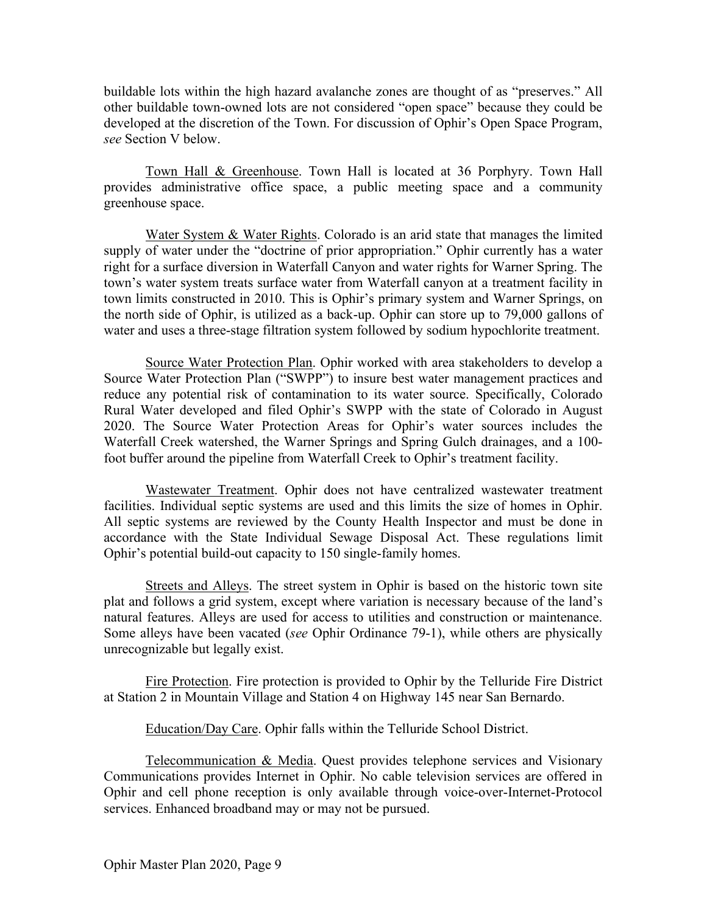buildable lots within the high hazard avalanche zones are thought of as "preserves." All other buildable town-owned lots are not considered "open space" because they could be developed at the discretion of the Town. For discussion of Ophir's Open Space Program, *see* Section V below.

Town Hall & Greenhouse. Town Hall is located at 36 Porphyry. Town Hall provides administrative office space, a public meeting space and a community greenhouse space.

Water System & Water Rights. Colorado is an arid state that manages the limited supply of water under the "doctrine of prior appropriation." Ophir currently has a water right for a surface diversion in Waterfall Canyon and water rights for Warner Spring. The town's water system treats surface water from Waterfall canyon at a treatment facility in town limits constructed in 2010. This is Ophir's primary system and Warner Springs, on the north side of Ophir, is utilized as a back-up. Ophir can store up to 79,000 gallons of water and uses a three-stage filtration system followed by sodium hypochlorite treatment.

Source Water Protection Plan. Ophir worked with area stakeholders to develop a Source Water Protection Plan ("SWPP") to insure best water management practices and reduce any potential risk of contamination to its water source. Specifically, Colorado Rural Water developed and filed Ophir's SWPP with the state of Colorado in August 2020. The Source Water Protection Areas for Ophir's water sources includes the Waterfall Creek watershed, the Warner Springs and Spring Gulch drainages, and a 100 foot buffer around the pipeline from Waterfall Creek to Ophir's treatment facility.

Wastewater Treatment. Ophir does not have centralized wastewater treatment facilities. Individual septic systems are used and this limits the size of homes in Ophir. All septic systems are reviewed by the County Health Inspector and must be done in accordance with the State Individual Sewage Disposal Act. These regulations limit Ophir's potential build-out capacity to 150 single-family homes.

Streets and Alleys. The street system in Ophir is based on the historic town site plat and follows a grid system, except where variation is necessary because of the land's natural features. Alleys are used for access to utilities and construction or maintenance. Some alleys have been vacated (*see* Ophir Ordinance 79-1), while others are physically unrecognizable but legally exist.

Fire Protection. Fire protection is provided to Ophir by the Telluride Fire District at Station 2 in Mountain Village and Station 4 on Highway 145 near San Bernardo.

Education/Day Care. Ophir falls within the Telluride School District.

Telecommunication & Media. Quest provides telephone services and Visionary Communications provides Internet in Ophir. No cable television services are offered in Ophir and cell phone reception is only available through voice-over-Internet-Protocol services. Enhanced broadband may or may not be pursued.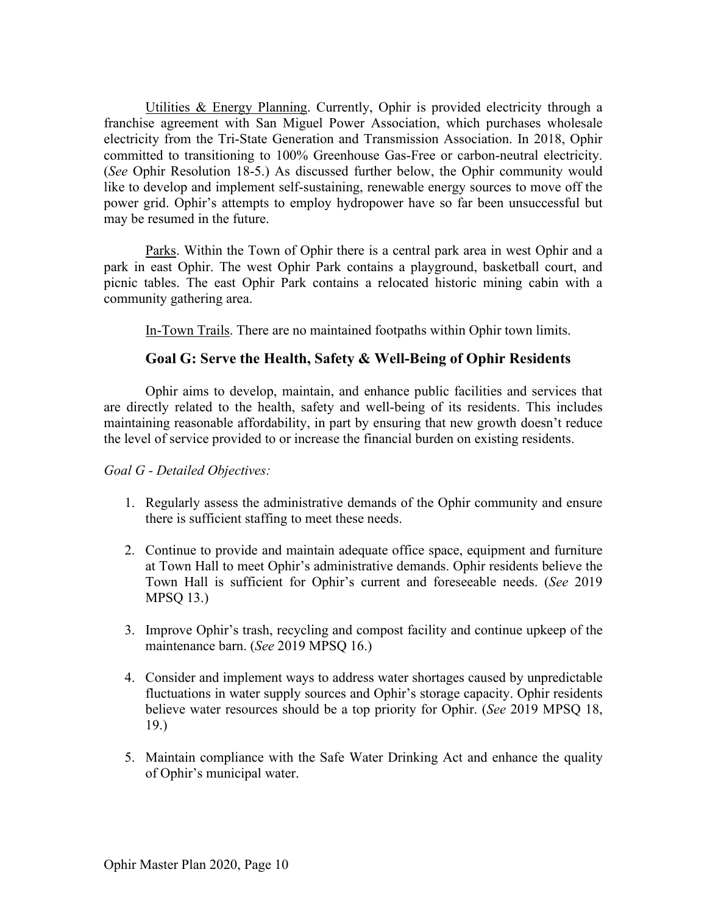Utilities & Energy Planning. Currently, Ophir is provided electricity through a franchise agreement with San Miguel Power Association, which purchases wholesale electricity from the Tri-State Generation and Transmission Association. In 2018, Ophir committed to transitioning to 100% Greenhouse Gas-Free or carbon-neutral electricity. (*See* Ophir Resolution 18-5.) As discussed further below, the Ophir community would like to develop and implement self-sustaining, renewable energy sources to move off the power grid. Ophir's attempts to employ hydropower have so far been unsuccessful but may be resumed in the future.

Parks. Within the Town of Ophir there is a central park area in west Ophir and a park in east Ophir. The west Ophir Park contains a playground, basketball court, and picnic tables. The east Ophir Park contains a relocated historic mining cabin with a community gathering area.

In-Town Trails. There are no maintained footpaths within Ophir town limits.

### **Goal G: Serve the Health, Safety & Well-Being of Ophir Residents**

Ophir aims to develop, maintain, and enhance public facilities and services that are directly related to the health, safety and well-being of its residents. This includes maintaining reasonable affordability, in part by ensuring that new growth doesn't reduce the level of service provided to or increase the financial burden on existing residents.

#### *Goal G - Detailed Objectives:*

- 1. Regularly assess the administrative demands of the Ophir community and ensure there is sufficient staffing to meet these needs.
- 2. Continue to provide and maintain adequate office space, equipment and furniture at Town Hall to meet Ophir's administrative demands. Ophir residents believe the Town Hall is sufficient for Ophir's current and foreseeable needs. (*See* 2019 MPSQ 13.)
- 3. Improve Ophir's trash, recycling and compost facility and continue upkeep of the maintenance barn. (*See* 2019 MPSQ 16.)
- 4. Consider and implement ways to address water shortages caused by unpredictable fluctuations in water supply sources and Ophir's storage capacity. Ophir residents believe water resources should be a top priority for Ophir. (*See* 2019 MPSQ 18, 19.)
- 5. Maintain compliance with the Safe Water Drinking Act and enhance the quality of Ophir's municipal water.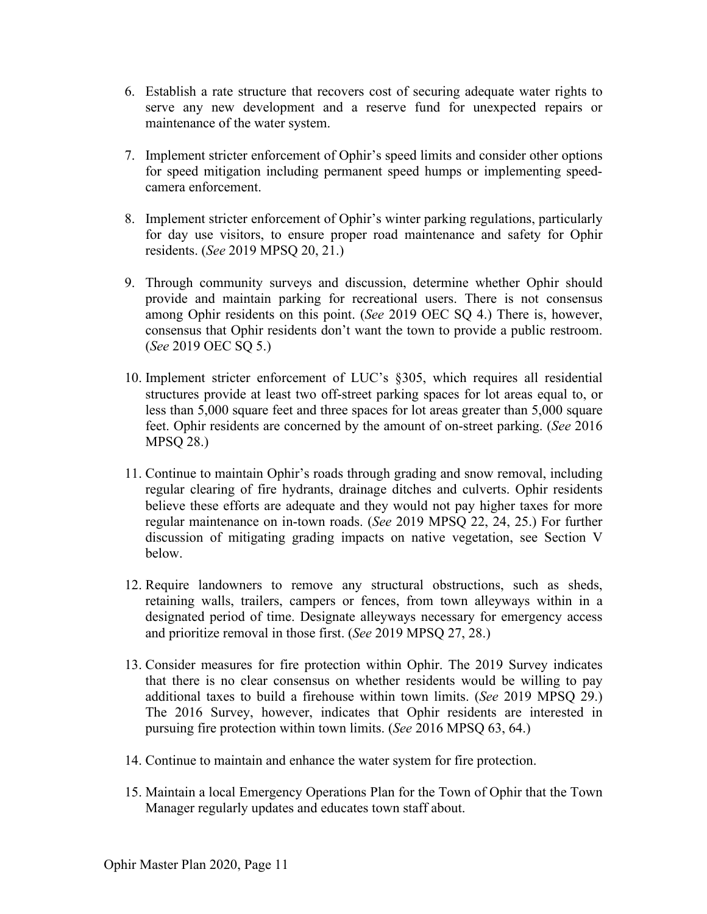- 6. Establish a rate structure that recovers cost of securing adequate water rights to serve any new development and a reserve fund for unexpected repairs or maintenance of the water system.
- 7. Implement stricter enforcement of Ophir's speed limits and consider other options for speed mitigation including permanent speed humps or implementing speedcamera enforcement.
- 8. Implement stricter enforcement of Ophir's winter parking regulations, particularly for day use visitors, to ensure proper road maintenance and safety for Ophir residents. (*See* 2019 MPSQ 20, 21.)
- 9. Through community surveys and discussion, determine whether Ophir should provide and maintain parking for recreational users. There is not consensus among Ophir residents on this point. (*See* 2019 OEC SQ 4.) There is, however, consensus that Ophir residents don't want the town to provide a public restroom. (*See* 2019 OEC SQ 5.)
- 10. Implement stricter enforcement of LUC's §305, which requires all residential structures provide at least two off-street parking spaces for lot areas equal to, or less than 5,000 square feet and three spaces for lot areas greater than 5,000 square feet. Ophir residents are concerned by the amount of on-street parking. (*See* 2016 MPSQ 28.)
- 11. Continue to maintain Ophir's roads through grading and snow removal, including regular clearing of fire hydrants, drainage ditches and culverts. Ophir residents believe these efforts are adequate and they would not pay higher taxes for more regular maintenance on in-town roads. (*See* 2019 MPSQ 22, 24, 25.) For further discussion of mitigating grading impacts on native vegetation, see Section V below.
- 12. Require landowners to remove any structural obstructions, such as sheds, retaining walls, trailers, campers or fences, from town alleyways within in a designated period of time. Designate alleyways necessary for emergency access and prioritize removal in those first. (*See* 2019 MPSQ 27, 28.)
- 13. Consider measures for fire protection within Ophir. The 2019 Survey indicates that there is no clear consensus on whether residents would be willing to pay additional taxes to build a firehouse within town limits. (*See* 2019 MPSQ 29.) The 2016 Survey, however, indicates that Ophir residents are interested in pursuing fire protection within town limits. (*See* 2016 MPSQ 63, 64.)
- 14. Continue to maintain and enhance the water system for fire protection.
- 15. Maintain a local Emergency Operations Plan for the Town of Ophir that the Town Manager regularly updates and educates town staff about.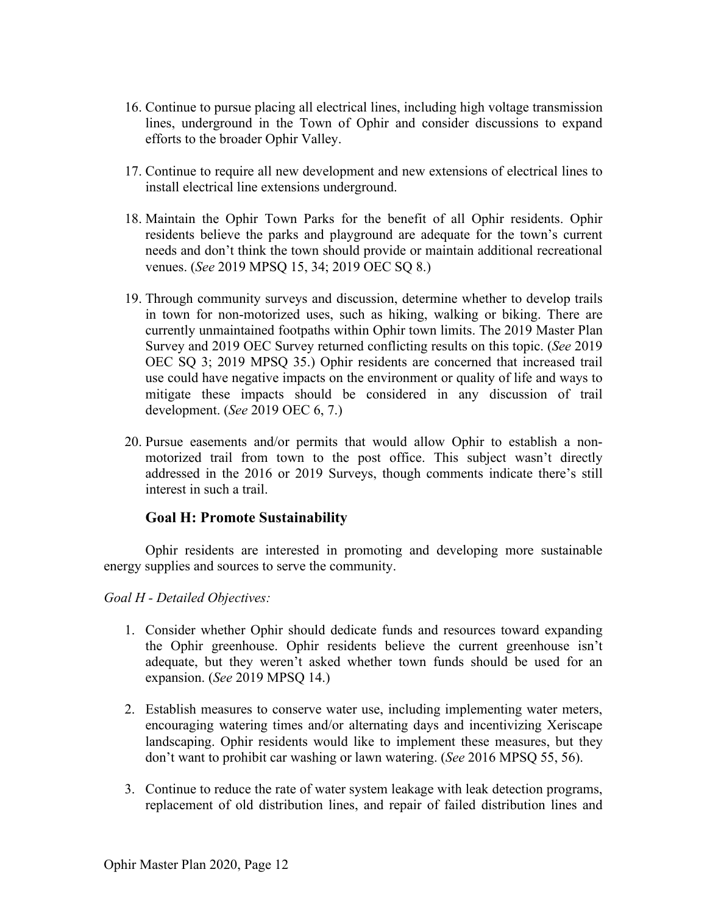- 16. Continue to pursue placing all electrical lines, including high voltage transmission lines, underground in the Town of Ophir and consider discussions to expand efforts to the broader Ophir Valley.
- 17. Continue to require all new development and new extensions of electrical lines to install electrical line extensions underground.
- 18. Maintain the Ophir Town Parks for the benefit of all Ophir residents. Ophir residents believe the parks and playground are adequate for the town's current needs and don't think the town should provide or maintain additional recreational venues. (*See* 2019 MPSQ 15, 34; 2019 OEC SQ 8.)
- 19. Through community surveys and discussion, determine whether to develop trails in town for non-motorized uses, such as hiking, walking or biking. There are currently unmaintained footpaths within Ophir town limits. The 2019 Master Plan Survey and 2019 OEC Survey returned conflicting results on this topic. (*See* 2019 OEC SQ 3; 2019 MPSQ 35.) Ophir residents are concerned that increased trail use could have negative impacts on the environment or quality of life and ways to mitigate these impacts should be considered in any discussion of trail development. (*See* 2019 OEC 6, 7.)
- 20. Pursue easements and/or permits that would allow Ophir to establish a nonmotorized trail from town to the post office. This subject wasn't directly addressed in the 2016 or 2019 Surveys, though comments indicate there's still interest in such a trail.

### **Goal H: Promote Sustainability**

Ophir residents are interested in promoting and developing more sustainable energy supplies and sources to serve the community.

*Goal H - Detailed Objectives:*

- 1. Consider whether Ophir should dedicate funds and resources toward expanding the Ophir greenhouse. Ophir residents believe the current greenhouse isn't adequate, but they weren't asked whether town funds should be used for an expansion. (*See* 2019 MPSQ 14.)
- 2. Establish measures to conserve water use, including implementing water meters, encouraging watering times and/or alternating days and incentivizing Xeriscape landscaping. Ophir residents would like to implement these measures, but they don't want to prohibit car washing or lawn watering. (*See* 2016 MPSQ 55, 56).
- 3. Continue to reduce the rate of water system leakage with leak detection programs, replacement of old distribution lines, and repair of failed distribution lines and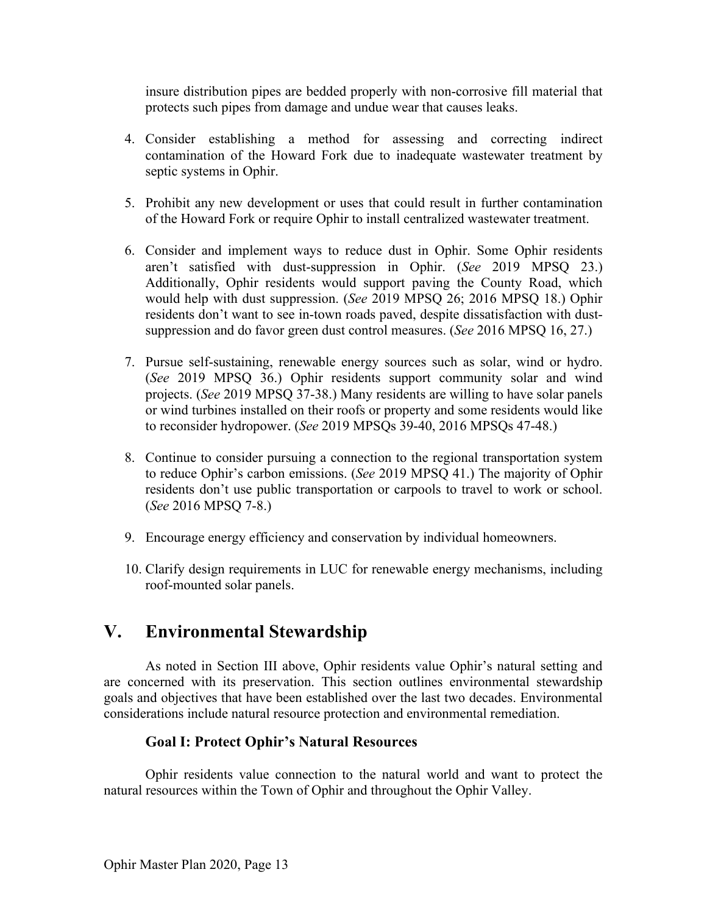insure distribution pipes are bedded properly with non-corrosive fill material that protects such pipes from damage and undue wear that causes leaks.

- 4. Consider establishing a method for assessing and correcting indirect contamination of the Howard Fork due to inadequate wastewater treatment by septic systems in Ophir.
- 5. Prohibit any new development or uses that could result in further contamination of the Howard Fork or require Ophir to install centralized wastewater treatment.
- 6. Consider and implement ways to reduce dust in Ophir. Some Ophir residents aren't satisfied with dust-suppression in Ophir. (*See* 2019 MPSQ 23.) Additionally, Ophir residents would support paving the County Road, which would help with dust suppression. (*See* 2019 MPSQ 26; 2016 MPSQ 18.) Ophir residents don't want to see in-town roads paved, despite dissatisfaction with dustsuppression and do favor green dust control measures. (*See* 2016 MPSQ 16, 27.)
- 7. Pursue self-sustaining, renewable energy sources such as solar, wind or hydro. (*See* 2019 MPSQ 36.) Ophir residents support community solar and wind projects. (*See* 2019 MPSQ 37-38.) Many residents are willing to have solar panels or wind turbines installed on their roofs or property and some residents would like to reconsider hydropower. (*See* 2019 MPSQs 39-40, 2016 MPSQs 47-48.)
- 8. Continue to consider pursuing a connection to the regional transportation system to reduce Ophir's carbon emissions. (*See* 2019 MPSQ 41.) The majority of Ophir residents don't use public transportation or carpools to travel to work or school. (*See* 2016 MPSQ 7-8.)
- 9. Encourage energy efficiency and conservation by individual homeowners.
- 10. Clarify design requirements in LUC for renewable energy mechanisms, including roof-mounted solar panels.

## **V. Environmental Stewardship**

As noted in Section III above, Ophir residents value Ophir's natural setting and are concerned with its preservation. This section outlines environmental stewardship goals and objectives that have been established over the last two decades. Environmental considerations include natural resource protection and environmental remediation.

## **Goal I: Protect Ophir's Natural Resources**

Ophir residents value connection to the natural world and want to protect the natural resources within the Town of Ophir and throughout the Ophir Valley.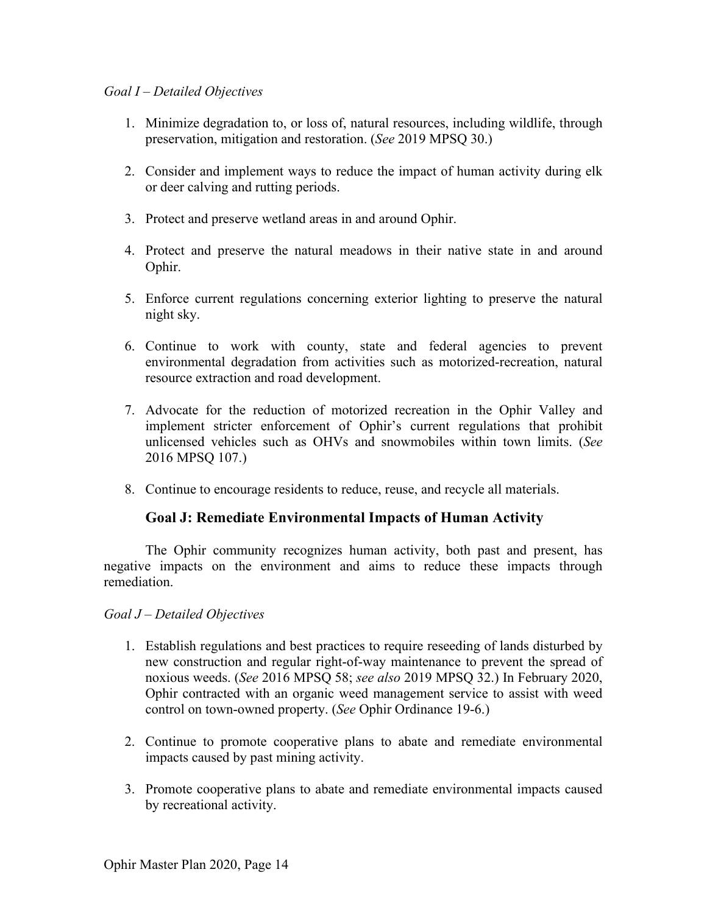### *Goal I – Detailed Objectives*

- 1. Minimize degradation to, or loss of, natural resources, including wildlife, through preservation, mitigation and restoration. (*See* 2019 MPSQ 30.)
- 2. Consider and implement ways to reduce the impact of human activity during elk or deer calving and rutting periods.
- 3. Protect and preserve wetland areas in and around Ophir.
- 4. Protect and preserve the natural meadows in their native state in and around Ophir.
- 5. Enforce current regulations concerning exterior lighting to preserve the natural night sky.
- 6. Continue to work with county, state and federal agencies to prevent environmental degradation from activities such as motorized-recreation, natural resource extraction and road development.
- 7. Advocate for the reduction of motorized recreation in the Ophir Valley and implement stricter enforcement of Ophir's current regulations that prohibit unlicensed vehicles such as OHVs and snowmobiles within town limits. (*See* 2016 MPSQ 107.)
- 8. Continue to encourage residents to reduce, reuse, and recycle all materials.

### **Goal J: Remediate Environmental Impacts of Human Activity**

The Ophir community recognizes human activity, both past and present, has negative impacts on the environment and aims to reduce these impacts through remediation.

#### *Goal J – Detailed Objectives*

- 1. Establish regulations and best practices to require reseeding of lands disturbed by new construction and regular right-of-way maintenance to prevent the spread of noxious weeds. (*See* 2016 MPSQ 58; *see also* 2019 MPSQ 32.) In February 2020, Ophir contracted with an organic weed management service to assist with weed control on town-owned property. (*See* Ophir Ordinance 19-6.)
- 2. Continue to promote cooperative plans to abate and remediate environmental impacts caused by past mining activity.
- 3. Promote cooperative plans to abate and remediate environmental impacts caused by recreational activity.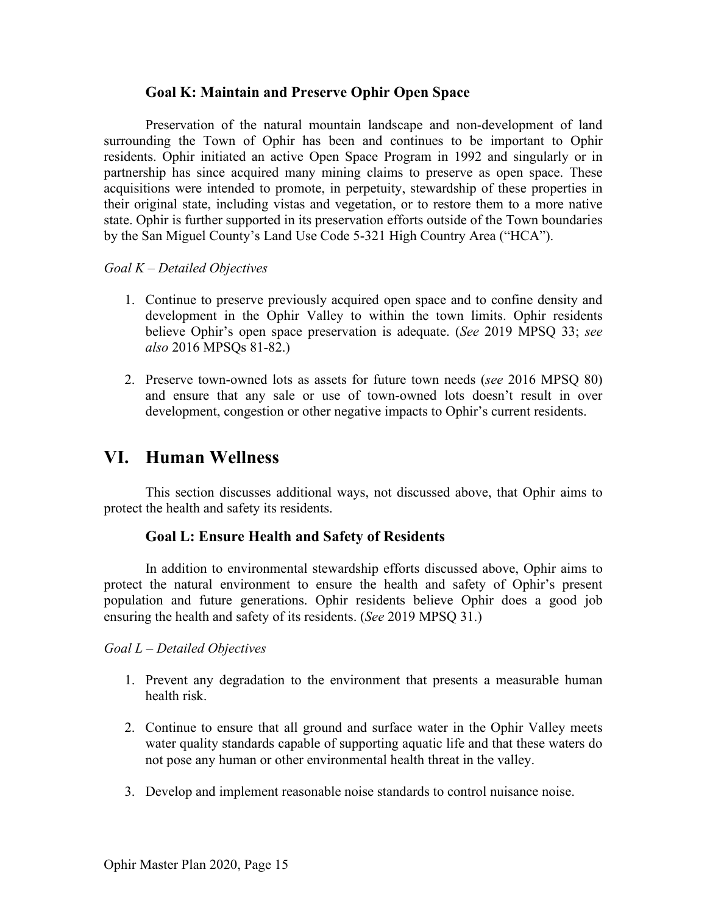### **Goal K: Maintain and Preserve Ophir Open Space**

Preservation of the natural mountain landscape and non-development of land surrounding the Town of Ophir has been and continues to be important to Ophir residents. Ophir initiated an active Open Space Program in 1992 and singularly or in partnership has since acquired many mining claims to preserve as open space. These acquisitions were intended to promote, in perpetuity, stewardship of these properties in their original state, including vistas and vegetation, or to restore them to a more native state. Ophir is further supported in its preservation efforts outside of the Town boundaries by the San Miguel County's Land Use Code 5-321 High Country Area ("HCA").

#### *Goal K – Detailed Objectives*

- 1. Continue to preserve previously acquired open space and to confine density and development in the Ophir Valley to within the town limits. Ophir residents believe Ophir's open space preservation is adequate. (*See* 2019 MPSQ 33; *see also* 2016 MPSQs 81-82.)
- 2. Preserve town-owned lots as assets for future town needs (*see* 2016 MPSQ 80) and ensure that any sale or use of town-owned lots doesn't result in over development, congestion or other negative impacts to Ophir's current residents.

## **VI. Human Wellness**

This section discusses additional ways, not discussed above, that Ophir aims to protect the health and safety its residents.

#### **Goal L: Ensure Health and Safety of Residents**

In addition to environmental stewardship efforts discussed above, Ophir aims to protect the natural environment to ensure the health and safety of Ophir's present population and future generations. Ophir residents believe Ophir does a good job ensuring the health and safety of its residents. (*See* 2019 MPSQ 31.)

#### *Goal L – Detailed Objectives*

- 1. Prevent any degradation to the environment that presents a measurable human health risk.
- 2. Continue to ensure that all ground and surface water in the Ophir Valley meets water quality standards capable of supporting aquatic life and that these waters do not pose any human or other environmental health threat in the valley.
- 3. Develop and implement reasonable noise standards to control nuisance noise.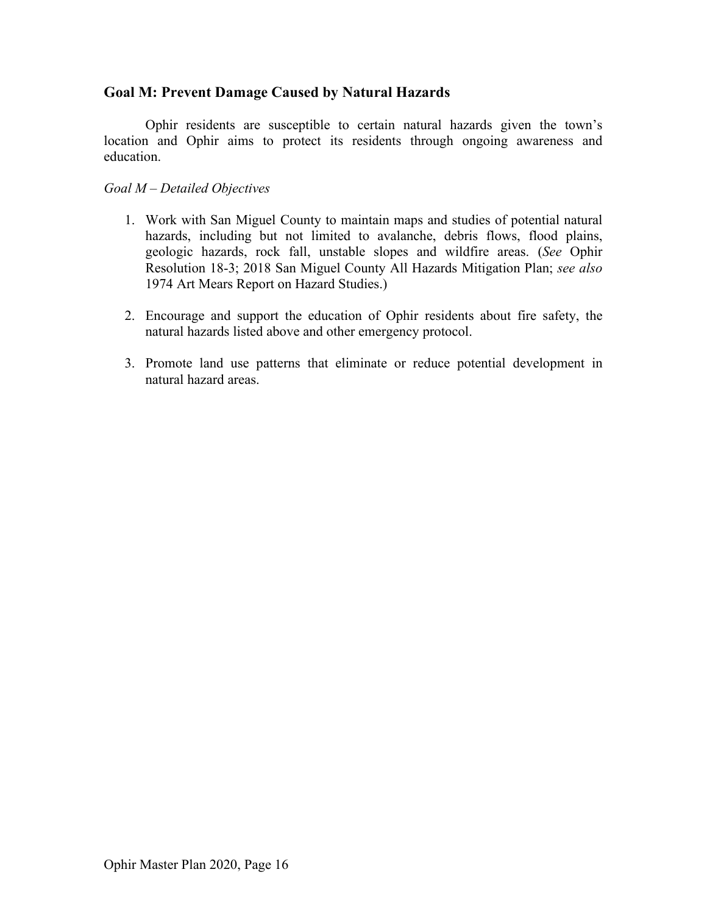### **Goal M: Prevent Damage Caused by Natural Hazards**

Ophir residents are susceptible to certain natural hazards given the town's location and Ophir aims to protect its residents through ongoing awareness and education.

### *Goal M – Detailed Objectives*

- 1. Work with San Miguel County to maintain maps and studies of potential natural hazards, including but not limited to avalanche, debris flows, flood plains, geologic hazards, rock fall, unstable slopes and wildfire areas. (*See* Ophir Resolution 18-3; 2018 San Miguel County All Hazards Mitigation Plan; *see also* 1974 Art Mears Report on Hazard Studies.)
- 2. Encourage and support the education of Ophir residents about fire safety, the natural hazards listed above and other emergency protocol.
- 3. Promote land use patterns that eliminate or reduce potential development in natural hazard areas.